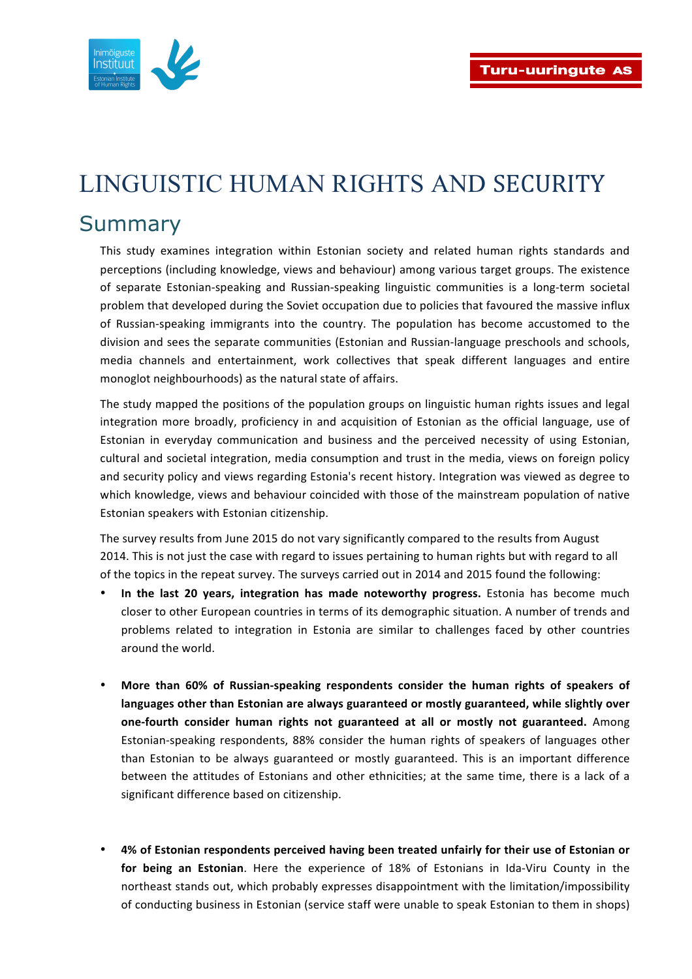

## LINGUISTIC HUMAN RIGHTS AND SECURITY

## Summary

This study examines integration within Estonian society and related human rights standards and perceptions (including knowledge, views and behaviour) among various target groups. The existence of separate Estonian-speaking and Russian-speaking linguistic communities is a long-term societal problem that developed during the Soviet occupation due to policies that favoured the massive influx of Russian-speaking immigrants into the country. The population has become accustomed to the division and sees the separate communities (Estonian and Russian-language preschools and schools, media channels and entertainment, work collectives that speak different languages and entire monoglot neighbourhoods) as the natural state of affairs.

The study mapped the positions of the population groups on linguistic human rights issues and legal integration more broadly, proficiency in and acquisition of Estonian as the official language, use of Estonian in everyday communication and business and the perceived necessity of using Estonian, cultural and societal integration, media consumption and trust in the media, views on foreign policy and security policy and views regarding Estonia's recent history. Integration was viewed as degree to which knowledge, views and behaviour coincided with those of the mainstream population of native Estonian speakers with Estonian citizenship.

The survey results from June 2015 do not vary significantly compared to the results from August 2014. This is not just the case with regard to issues pertaining to human rights but with regard to all of the topics in the repeat survey. The surveys carried out in 2014 and 2015 found the following:

- In the last 20 years, integration has made noteworthy progress. Estonia has become much closer to other European countries in terms of its demographic situation. A number of trends and problems related to integration in Estonia are similar to challenges faced by other countries around the world.
- More than 60% of Russian-speaking respondents consider the human rights of speakers of languages other than Estonian are always guaranteed or mostly guaranteed, while slightly over **one-fourth consider human rights not guaranteed at all or mostly not guaranteed.** Among Estonian-speaking respondents, 88% consider the human rights of speakers of languages other than Estonian to be always guaranteed or mostly guaranteed. This is an important difference between the attitudes of Estonians and other ethnicities; at the same time, there is a lack of a significant difference based on citizenship.
- 4% of Estonian respondents perceived having been treated unfairly for their use of Estonian or for being an Estonian. Here the experience of 18% of Estonians in Ida-Viru County in the northeast stands out, which probably expresses disappointment with the limitation/impossibility of conducting business in Estonian (service staff were unable to speak Estonian to them in shops)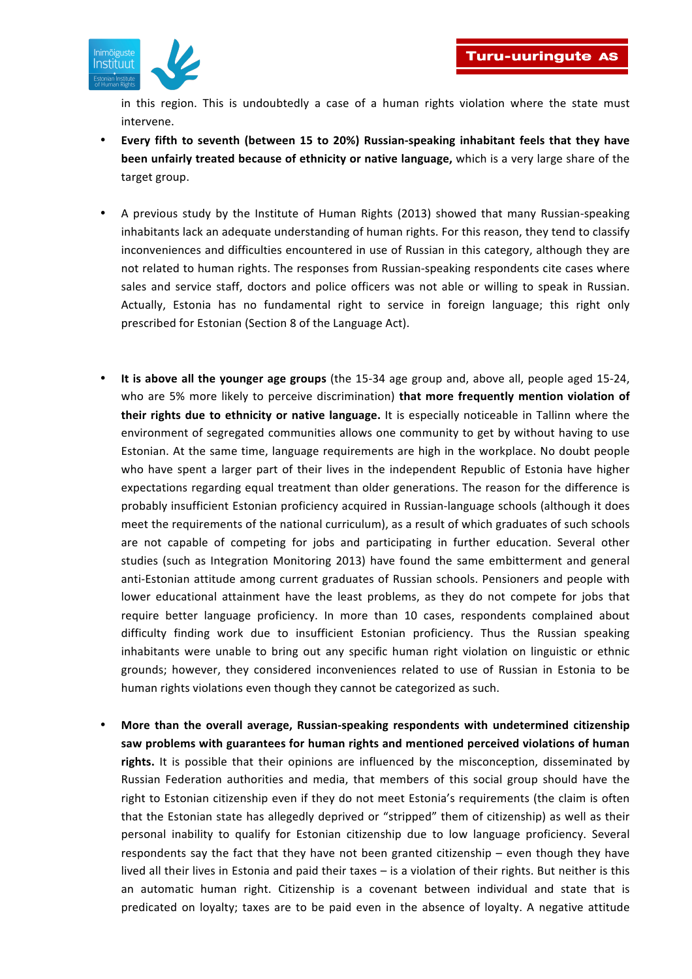

in this region. This is undoubtedly a case of a human rights violation where the state must intervene.

- **Every fifth to seventh (between 15 to 20%) Russian-speaking inhabitant feels that they have been unfairly treated because of ethnicity or native language, which is a very large share of the** target group.
- A previous study by the Institute of Human Rights (2013) showed that many Russian-speaking inhabitants lack an adequate understanding of human rights. For this reason, they tend to classify inconveniences and difficulties encountered in use of Russian in this category, although they are not related to human rights. The responses from Russian-speaking respondents cite cases where sales and service staff, doctors and police officers was not able or willing to speak in Russian. Actually, Estonia has no fundamental right to service in foreign language; this right only prescribed for Estonian (Section 8 of the Language Act).
- It is above all the younger age groups (the 15-34 age group and, above all, people aged 15-24, who are 5% more likely to perceive discrimination) **that more frequently mention violation of their rights due to ethnicity or native language.** It is especially noticeable in Tallinn where the environment of segregated communities allows one community to get by without having to use Estonian. At the same time, language requirements are high in the workplace. No doubt people who have spent a larger part of their lives in the independent Republic of Estonia have higher expectations regarding equal treatment than older generations. The reason for the difference is probably insufficient Estonian proficiency acquired in Russian-language schools (although it does meet the requirements of the national curriculum), as a result of which graduates of such schools are not capable of competing for jobs and participating in further education. Several other studies (such as Integration Monitoring 2013) have found the same embitterment and general anti-Estonian attitude among current graduates of Russian schools. Pensioners and people with lower educational attainment have the least problems, as they do not compete for jobs that require better language proficiency. In more than 10 cases, respondents complained about difficulty finding work due to insufficient Estonian proficiency. Thus the Russian speaking inhabitants were unable to bring out any specific human right violation on linguistic or ethnic grounds; however, they considered inconveniences related to use of Russian in Estonia to be human rights violations even though they cannot be categorized as such.
- More than the overall average, Russian-speaking respondents with undetermined citizenship saw problems with guarantees for human rights and mentioned perceived violations of human rights. It is possible that their opinions are influenced by the misconception, disseminated by Russian Federation authorities and media, that members of this social group should have the right to Estonian citizenship even if they do not meet Estonia's requirements (the claim is often that the Estonian state has allegedly deprived or "stripped" them of citizenship) as well as their personal inability to qualify for Estonian citizenship due to low language proficiency. Several respondents say the fact that they have not been granted citizenship – even though they have lived all their lives in Estonia and paid their taxes – is a violation of their rights. But neither is this an automatic human right. Citizenship is a covenant between individual and state that is predicated on loyalty; taxes are to be paid even in the absence of loyalty. A negative attitude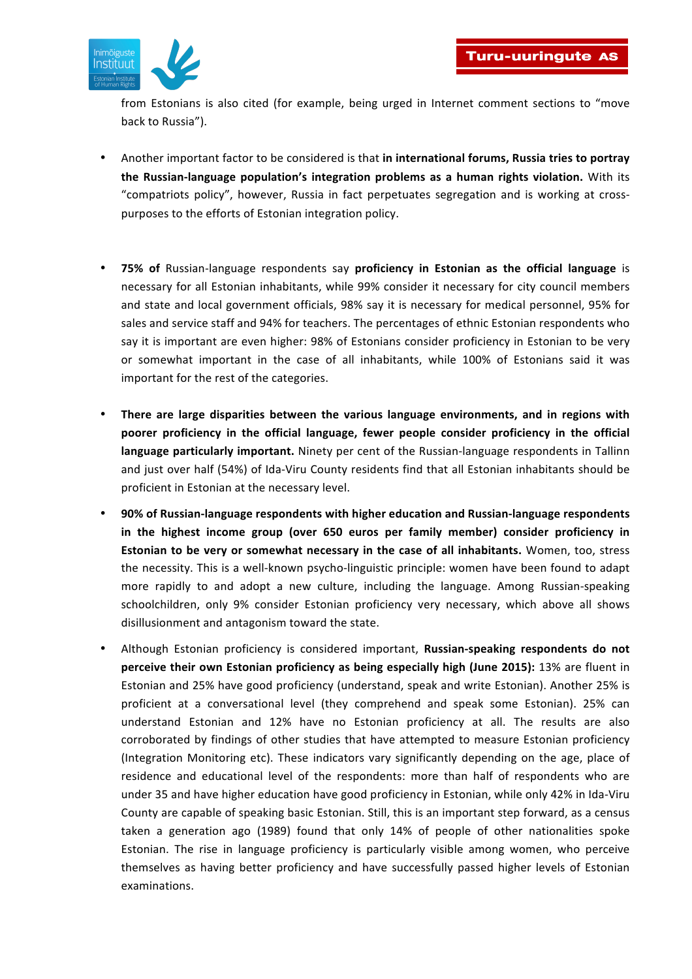

from Estonians is also cited (for example, being urged in Internet comment sections to "move back to Russia").

- Another important factor to be considered is that in international forums, Russia tries to portray **the Russian-language population's integration problems as a human rights violation.** With its "compatriots policy", however, Russia in fact perpetuates segregation and is working at crosspurposes to the efforts of Estonian integration policy.
- **75% of** Russian-language respondents say proficiency in Estonian as the official language is necessary for all Estonian inhabitants, while 99% consider it necessary for city council members and state and local government officials, 98% say it is necessary for medical personnel, 95% for sales and service staff and 94% for teachers. The percentages of ethnic Estonian respondents who say it is important are even higher: 98% of Estonians consider proficiency in Estonian to be very or somewhat important in the case of all inhabitants, while 100% of Estonians said it was important for the rest of the categories.
- There are large disparities between the various language environments, and in regions with **poorer** proficiency in the official language, fewer people consider proficiency in the official language particularly important. Ninety per cent of the Russian-language respondents in Tallinn and just over half (54%) of Ida-Viru County residents find that all Estonian inhabitants should be proficient in Estonian at the necessary level.
- **90% of Russian-language respondents with higher education and Russian-language respondents**  in the highest income group (over 650 euros per family member) consider proficiency in **Estonian to be very or somewhat necessary in the case of all inhabitants.** Women, too, stress the necessity. This is a well-known psycho-linguistic principle: women have been found to adapt more rapidly to and adopt a new culture, including the language. Among Russian-speaking schoolchildren, only 9% consider Estonian proficiency very necessary, which above all shows disillusionment and antagonism toward the state.
- Although Estonian proficiency is considered important, **Russian-speaking respondents do not perceive their own Estonian proficiency as being especially high (June 2015):** 13% are fluent in Estonian and 25% have good proficiency (understand, speak and write Estonian). Another 25% is proficient at a conversational level (they comprehend and speak some Estonian). 25% can understand Estonian and 12% have no Estonian proficiency at all. The results are also corroborated by findings of other studies that have attempted to measure Estonian proficiency (Integration Monitoring etc). These indicators vary significantly depending on the age, place of residence and educational level of the respondents: more than half of respondents who are under 35 and have higher education have good proficiency in Estonian, while only 42% in Ida-Viru County are capable of speaking basic Estonian. Still, this is an important step forward, as a census taken a generation ago (1989) found that only 14% of people of other nationalities spoke Estonian. The rise in language proficiency is particularly visible among women, who perceive themselves as having better proficiency and have successfully passed higher levels of Estonian examinations.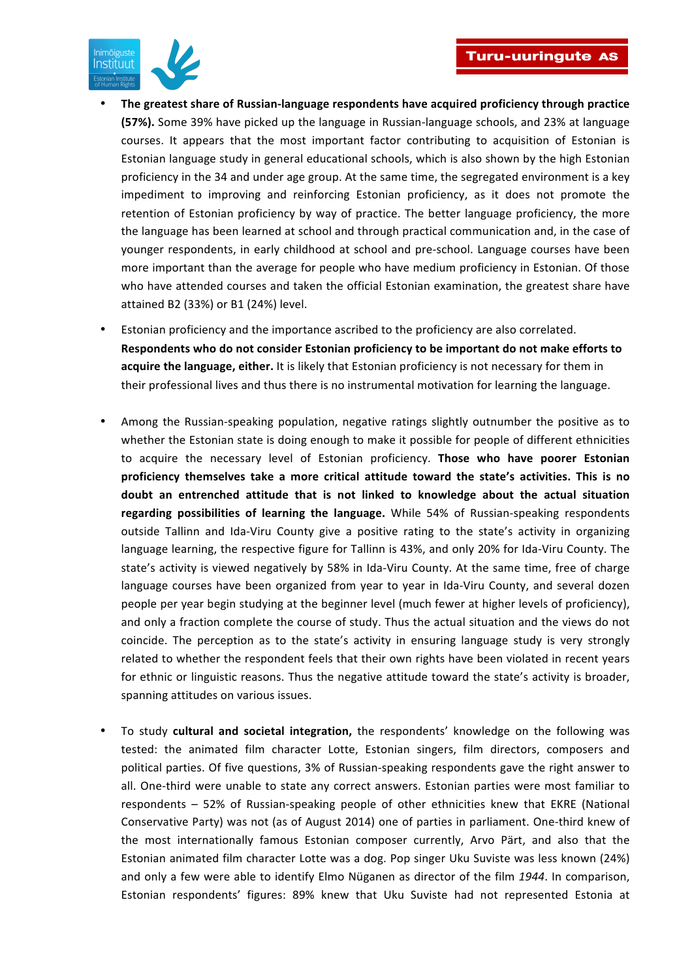

- The greatest share of Russian-language respondents have acquired proficiency through practice **(57%).** Some 39% have picked up the language in Russian-language schools, and 23% at language courses. It appears that the most important factor contributing to acquisition of Estonian is Estonian language study in general educational schools, which is also shown by the high Estonian proficiency in the 34 and under age group. At the same time, the segregated environment is a key impediment to improving and reinforcing Estonian proficiency, as it does not promote the retention of Estonian proficiency by way of practice. The better language proficiency, the more the language has been learned at school and through practical communication and, in the case of younger respondents, in early childhood at school and pre-school. Language courses have been more important than the average for people who have medium proficiency in Estonian. Of those who have attended courses and taken the official Estonian examination, the greatest share have attained B2 (33%) or B1 (24%) level.
- Estonian proficiency and the importance ascribed to the proficiency are also correlated. Respondents who do not consider Estonian proficiency to be important do not make efforts to **acquire the language, either.** It is likely that Estonian proficiency is not necessary for them in their professional lives and thus there is no instrumental motivation for learning the language.
- Among the Russian-speaking population, negative ratings slightly outnumber the positive as to whether the Estonian state is doing enough to make it possible for people of different ethnicities to acquire the necessary level of Estonian proficiency. Those who have poorer Estonian proficiency themselves take a more critical attitude toward the state's activities. This is no doubt an entrenched attitude that is not linked to knowledge about the actual situation regarding possibilities of learning the language. While 54% of Russian-speaking respondents outside Tallinn and Ida-Viru County give a positive rating to the state's activity in organizing language learning, the respective figure for Tallinn is 43%, and only 20% for Ida-Viru County. The state's activity is viewed negatively by 58% in Ida-Viru County. At the same time, free of charge language courses have been organized from year to year in Ida-Viru County, and several dozen people per year begin studying at the beginner level (much fewer at higher levels of proficiency), and only a fraction complete the course of study. Thus the actual situation and the views do not coincide. The perception as to the state's activity in ensuring language study is very strongly related to whether the respondent feels that their own rights have been violated in recent years for ethnic or linguistic reasons. Thus the negative attitude toward the state's activity is broader, spanning attitudes on various issues.
- To study **cultural and societal integration,** the respondents' knowledge on the following was tested: the animated film character Lotte, Estonian singers, film directors, composers and political parties. Of five questions, 3% of Russian-speaking respondents gave the right answer to all. One-third were unable to state any correct answers. Estonian parties were most familiar to respondents  $-52%$  of Russian-speaking people of other ethnicities knew that EKRE (National Conservative Party) was not (as of August 2014) one of parties in parliament. One-third knew of the most internationally famous Estonian composer currently, Arvo Pärt, and also that the Estonian animated film character Lotte was a dog. Pop singer Uku Suviste was less known (24%) and only a few were able to identify Elmo Nüganen as director of the film 1944. In comparison, Estonian respondents' figures: 89% knew that Uku Suviste had not represented Estonia at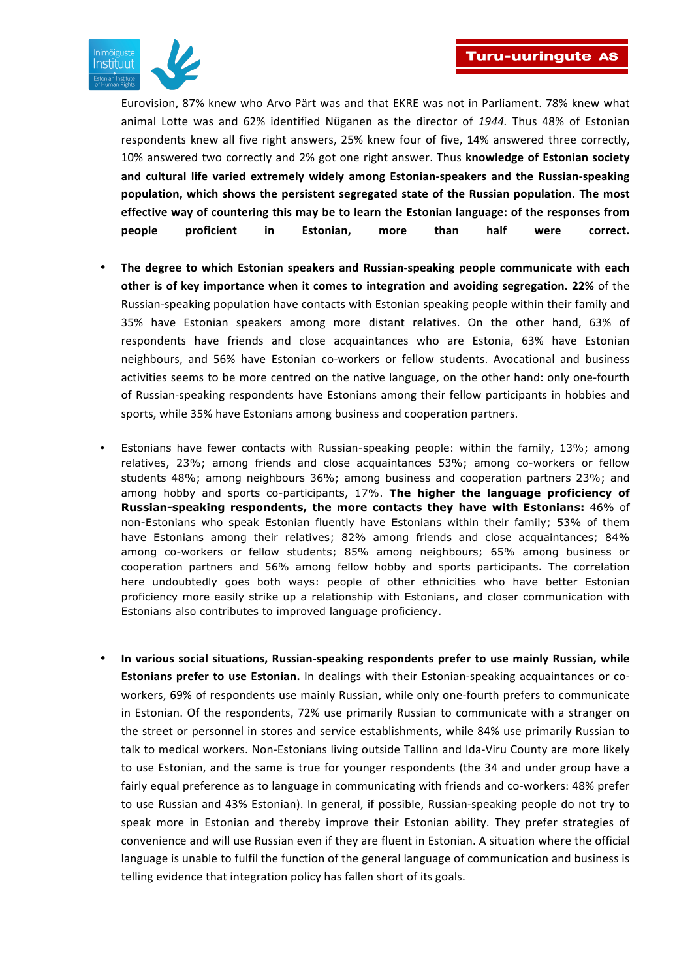

Eurovision, 87% knew who Arvo Pärt was and that EKRE was not in Parliament. 78% knew what animal Lotte was and 62% identified Nüganen as the director of 1944. Thus 48% of Estonian respondents knew all five right answers, 25% knew four of five, 14% answered three correctly, 10% answered two correctly and 2% got one right answer. Thus knowledge of Estonian society and cultural life varied extremely widely among Estonian-speakers and the Russian-speaking population, which shows the persistent segregated state of the Russian population. The most effective way of countering this may be to learn the Estonian language: of the responses from people proficient in Estonian, more than half were correct.

- The degree to which Estonian speakers and Russian-speaking people communicate with each other is of key importance when it comes to integration and avoiding segregation. 22% of the Russian-speaking population have contacts with Estonian speaking people within their family and 35% have Estonian speakers among more distant relatives. On the other hand, 63% of respondents have friends and close acquaintances who are Estonia, 63% have Estonian neighbours, and 56% have Estonian co-workers or fellow students. Avocational and business activities seems to be more centred on the native language, on the other hand: only one-fourth of Russian-speaking respondents have Estonians among their fellow participants in hobbies and sports, while 35% have Estonians among business and cooperation partners.
- Estonians have fewer contacts with Russian-speaking people: within the family, 13%; among relatives, 23%; among friends and close acquaintances 53%; among co-workers or fellow students 48%; among neighbours 36%; among business and cooperation partners 23%; and among hobby and sports co-participants, 17%. **The higher the language proficiency of Russian-speaking respondents, the more contacts they have with Estonians:** 46% of non-Estonians who speak Estonian fluently have Estonians within their family; 53% of them have Estonians among their relatives; 82% among friends and close acquaintances; 84% among co-workers or fellow students; 85% among neighbours; 65% among business or cooperation partners and 56% among fellow hobby and sports participants. The correlation here undoubtedly goes both ways: people of other ethnicities who have better Estonian proficiency more easily strike up a relationship with Estonians, and closer communication with Estonians also contributes to improved language proficiency.
- In various social situations, Russian-speaking respondents prefer to use mainly Russian, while **Estonians prefer to use Estonian.** In dealings with their Estonian-speaking acquaintances or coworkers, 69% of respondents use mainly Russian, while only one-fourth prefers to communicate in Estonian. Of the respondents, 72% use primarily Russian to communicate with a stranger on the street or personnel in stores and service establishments, while 84% use primarily Russian to talk to medical workers. Non-Estonians living outside Tallinn and Ida-Viru County are more likely to use Estonian, and the same is true for younger respondents (the 34 and under group have a fairly equal preference as to language in communicating with friends and co-workers: 48% prefer to use Russian and 43% Estonian). In general, if possible, Russian-speaking people do not try to speak more in Estonian and thereby improve their Estonian ability. They prefer strategies of convenience and will use Russian even if they are fluent in Estonian. A situation where the official language is unable to fulfil the function of the general language of communication and business is telling evidence that integration policy has fallen short of its goals.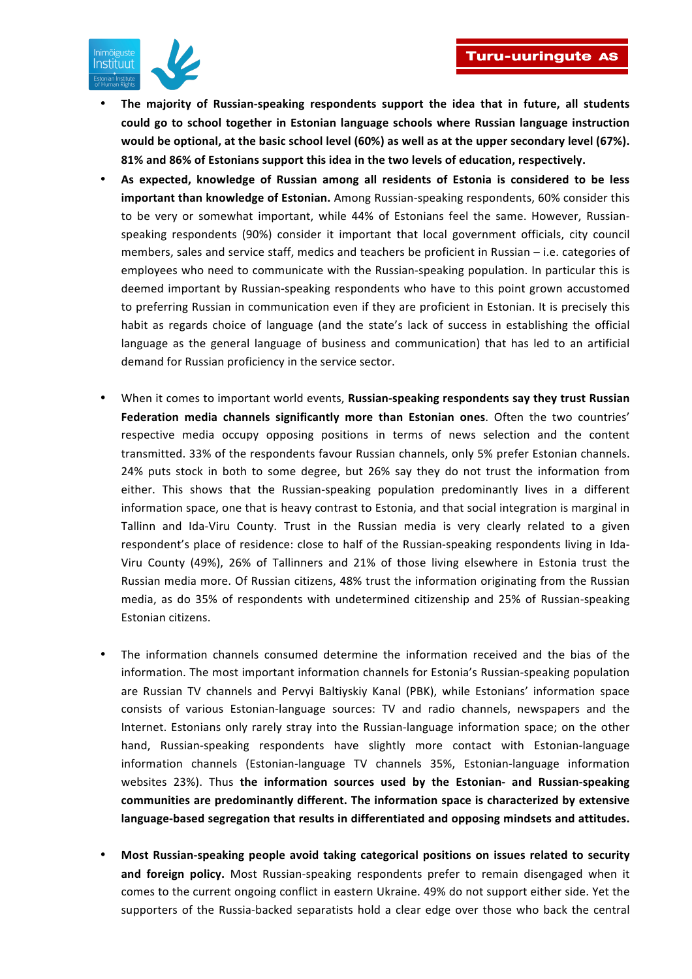

- The majority of Russian-speaking respondents support the idea that in future, all students could go to school together in Estonian language schools where Russian language instruction would be optional, at the basic school level (60%) as well as at the upper secondary level (67%). 81% and 86% of Estonians support this idea in the two levels of education, respectively.
- As expected, knowledge of Russian among all residents of Estonia is considered to be less **important than knowledge of Estonian.** Among Russian-speaking respondents, 60% consider this to be very or somewhat important, while 44% of Estonians feel the same. However, Russianspeaking respondents (90%) consider it important that local government officials, city council members, sales and service staff, medics and teachers be proficient in Russian – i.e. categories of employees who need to communicate with the Russian-speaking population. In particular this is deemed important by Russian-speaking respondents who have to this point grown accustomed to preferring Russian in communication even if they are proficient in Estonian. It is precisely this habit as regards choice of language (and the state's lack of success in establishing the official language as the general language of business and communication) that has led to an artificial demand for Russian proficiency in the service sector.
- When it comes to important world events, Russian-speaking respondents say they trust Russian **Federation media channels significantly more than Estonian ones.** Often the two countries' respective media occupy opposing positions in terms of news selection and the content transmitted. 33% of the respondents favour Russian channels, only 5% prefer Estonian channels. 24% puts stock in both to some degree, but 26% say they do not trust the information from either. This shows that the Russian-speaking population predominantly lives in a different information space, one that is heavy contrast to Estonia, and that social integration is marginal in Tallinn and Ida-Viru County. Trust in the Russian media is very clearly related to a given respondent's place of residence: close to half of the Russian-speaking respondents living in Ida-Viru County (49%), 26% of Tallinners and 21% of those living elsewhere in Estonia trust the Russian media more. Of Russian citizens, 48% trust the information originating from the Russian media, as do 35% of respondents with undetermined citizenship and 25% of Russian-speaking Estonian citizens.
- The information channels consumed determine the information received and the bias of the information. The most important information channels for Estonia's Russian-speaking population are Russian TV channels and Pervyi Baltiyskiy Kanal (PBK), while Estonians' information space consists of various Estonian-language sources: TV and radio channels, newspapers and the Internet. Estonians only rarely stray into the Russian-language information space; on the other hand, Russian-speaking respondents have slightly more contact with Estonian-language information channels (Estonian-language TV channels 35%, Estonian-language information websites 23%). Thus the information sources used by the Estonian- and Russian-speaking communities are predominantly different. The information space is characterized by extensive language-based segregation that results in differentiated and opposing mindsets and attitudes.
- Most Russian-speaking people avoid taking categorical positions on issues related to security and foreign policy. Most Russian-speaking respondents prefer to remain disengaged when it comes to the current ongoing conflict in eastern Ukraine. 49% do not support either side. Yet the supporters of the Russia-backed separatists hold a clear edge over those who back the central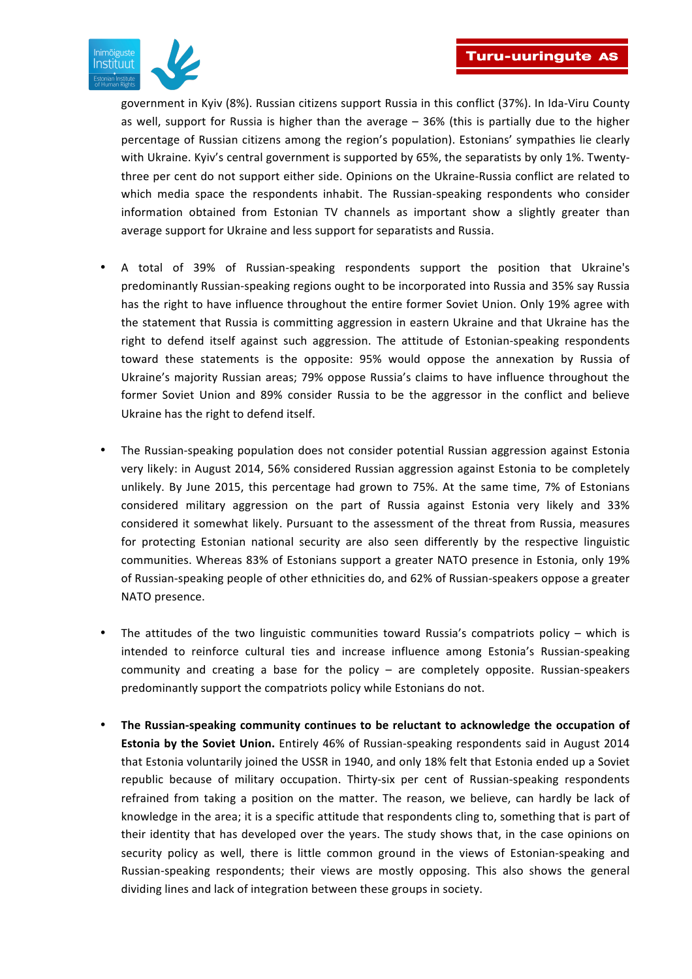

government in Kyiv (8%). Russian citizens support Russia in this conflict (37%). In Ida-Viru County as well, support for Russia is higher than the average  $-36%$  (this is partially due to the higher percentage of Russian citizens among the region's population). Estonians' sympathies lie clearly with Ukraine. Kyiv's central government is supported by 65%, the separatists by only 1%. Twentythree per cent do not support either side. Opinions on the Ukraine-Russia conflict are related to which media space the respondents inhabit. The Russian-speaking respondents who consider information obtained from Estonian TV channels as important show a slightly greater than average support for Ukraine and less support for separatists and Russia.

- A total of 39% of Russian-speaking respondents support the position that Ukraine's predominantly Russian-speaking regions ought to be incorporated into Russia and 35% say Russia has the right to have influence throughout the entire former Soviet Union. Only 19% agree with the statement that Russia is committing aggression in eastern Ukraine and that Ukraine has the right to defend itself against such aggression. The attitude of Estonian-speaking respondents toward these statements is the opposite: 95% would oppose the annexation by Russia of Ukraine's majority Russian areas; 79% oppose Russia's claims to have influence throughout the former Soviet Union and 89% consider Russia to be the aggressor in the conflict and believe Ukraine has the right to defend itself.
- The Russian-speaking population does not consider potential Russian aggression against Estonia very likely: in August 2014, 56% considered Russian aggression against Estonia to be completely unlikely. By June 2015, this percentage had grown to 75%. At the same time, 7% of Estonians considered military aggression on the part of Russia against Estonia very likely and 33% considered it somewhat likely. Pursuant to the assessment of the threat from Russia, measures for protecting Estonian national security are also seen differently by the respective linguistic communities. Whereas 83% of Estonians support a greater NATO presence in Estonia, only 19% of Russian-speaking people of other ethnicities do, and 62% of Russian-speakers oppose a greater NATO presence.
- The attitudes of the two linguistic communities toward Russia's compatriots policy which is intended to reinforce cultural ties and increase influence among Estonia's Russian-speaking community and creating a base for the policy – are completely opposite. Russian-speakers predominantly support the compatriots policy while Estonians do not.
- The Russian-speaking community continues to be reluctant to acknowledge the occupation of **Estonia by the Soviet Union.** Entirely 46% of Russian-speaking respondents said in August 2014 that Estonia voluntarily joined the USSR in 1940, and only 18% felt that Estonia ended up a Soviet republic because of military occupation. Thirty-six per cent of Russian-speaking respondents refrained from taking a position on the matter. The reason, we believe, can hardly be lack of knowledge in the area; it is a specific attitude that respondents cling to, something that is part of their identity that has developed over the years. The study shows that, in the case opinions on security policy as well, there is little common ground in the views of Estonian-speaking and Russian-speaking respondents; their views are mostly opposing. This also shows the general dividing lines and lack of integration between these groups in society.